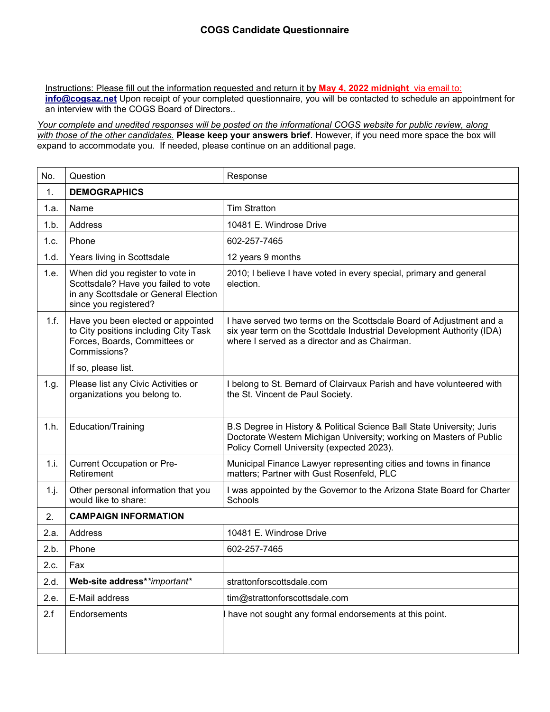Instructions: Please fill out the information requested and return it by **May 4, 2022 midnight** via email to: **info@cogsaz.net** Upon receipt of your completed questionnaire, you will be contacted to schedule an appointment for an interview with the COGS Board of Directors..

*Your complete and unedited responses will be posted on the informational COGS website for public review, along with those of the other candidates.* **Please keep your answers brief**. However, if you need more space the box will expand to accommodate you. If needed, please continue on an additional page.

| No.  | Question                                                                                                                                  | Response                                                                                                                                                                                      |
|------|-------------------------------------------------------------------------------------------------------------------------------------------|-----------------------------------------------------------------------------------------------------------------------------------------------------------------------------------------------|
| 1.   | <b>DEMOGRAPHICS</b>                                                                                                                       |                                                                                                                                                                                               |
| 1.a. | Name                                                                                                                                      | <b>Tim Stratton</b>                                                                                                                                                                           |
| 1.b. | Address                                                                                                                                   | 10481 E. Windrose Drive                                                                                                                                                                       |
| 1.c. | Phone                                                                                                                                     | 602-257-7465                                                                                                                                                                                  |
| 1.d. | Years living in Scottsdale                                                                                                                | 12 years 9 months                                                                                                                                                                             |
| 1.e. | When did you register to vote in<br>Scottsdale? Have you failed to vote<br>in any Scottsdale or General Election<br>since you registered? | 2010; I believe I have voted in every special, primary and general<br>election.                                                                                                               |
| 1.f. | Have you been elected or appointed<br>to City positions including City Task<br>Forces, Boards, Committees or<br>Commissions?              | I have served two terms on the Scottsdale Board of Adjustment and a<br>six year term on the Scottdale Industrial Development Authority (IDA)<br>where I served as a director and as Chairman. |
|      | If so, please list.                                                                                                                       |                                                                                                                                                                                               |
| 1.g. | Please list any Civic Activities or<br>organizations you belong to.                                                                       | I belong to St. Bernard of Clairvaux Parish and have volunteered with<br>the St. Vincent de Paul Society.                                                                                     |
| 1.h. | Education/Training                                                                                                                        | B.S Degree in History & Political Science Ball State University; Juris<br>Doctorate Western Michigan University; working on Masters of Public<br>Policy Cornell University (expected 2023).   |
| 1.i. | Current Occupation or Pre-<br>Retirement                                                                                                  | Municipal Finance Lawyer representing cities and towns in finance<br>matters; Partner with Gust Rosenfeld, PLC                                                                                |
| 1.j. | Other personal information that you<br>would like to share:                                                                               | I was appointed by the Governor to the Arizona State Board for Charter<br>Schools                                                                                                             |
| 2.   | <b>CAMPAIGN INFORMATION</b>                                                                                                               |                                                                                                                                                                                               |
| 2.a. | Address                                                                                                                                   | 10481 E. Windrose Drive                                                                                                                                                                       |
| 2.b. | Phone                                                                                                                                     | 602-257-7465                                                                                                                                                                                  |
| 2.c. | Fax                                                                                                                                       |                                                                                                                                                                                               |
| 2.d. | Web-site address**important*                                                                                                              | strattonforscottsdale.com                                                                                                                                                                     |
| 2.e. | E-Mail address                                                                                                                            | tim@strattonforscottsdale.com                                                                                                                                                                 |
| 2.f  | Endorsements                                                                                                                              | I have not sought any formal endorsements at this point.                                                                                                                                      |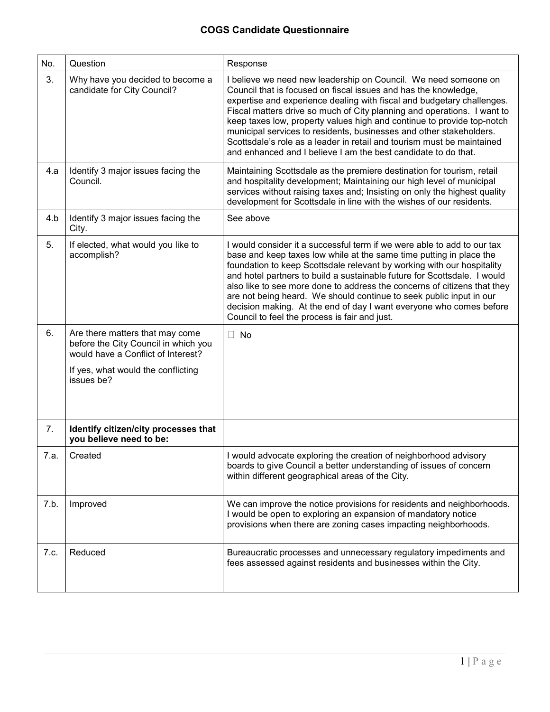| No.  | Question                                                                                                                                                          | Response                                                                                                                                                                                                                                                                                                                                                                                                                                                                                                                                                                             |
|------|-------------------------------------------------------------------------------------------------------------------------------------------------------------------|--------------------------------------------------------------------------------------------------------------------------------------------------------------------------------------------------------------------------------------------------------------------------------------------------------------------------------------------------------------------------------------------------------------------------------------------------------------------------------------------------------------------------------------------------------------------------------------|
| 3.   | Why have you decided to become a<br>candidate for City Council?                                                                                                   | I believe we need new leadership on Council. We need someone on<br>Council that is focused on fiscal issues and has the knowledge,<br>expertise and experience dealing with fiscal and budgetary challenges.<br>Fiscal matters drive so much of City planning and operations. I want to<br>keep taxes low, property values high and continue to provide top-notch<br>municipal services to residents, businesses and other stakeholders.<br>Scottsdale's role as a leader in retail and tourism must be maintained<br>and enhanced and I believe I am the best candidate to do that. |
| 4.a  | Identify 3 major issues facing the<br>Council.                                                                                                                    | Maintaining Scottsdale as the premiere destination for tourism, retail<br>and hospitality development; Maintaining our high level of municipal<br>services without raising taxes and; Insisting on only the highest quality<br>development for Scottsdale in line with the wishes of our residents.                                                                                                                                                                                                                                                                                  |
| 4.b  | Identify 3 major issues facing the<br>City.                                                                                                                       | See above                                                                                                                                                                                                                                                                                                                                                                                                                                                                                                                                                                            |
| 5.   | If elected, what would you like to<br>accomplish?                                                                                                                 | I would consider it a successful term if we were able to add to our tax<br>base and keep taxes low while at the same time putting in place the<br>foundation to keep Scottsdale relevant by working with our hospitality<br>and hotel partners to build a sustainable future for Scottsdale. I would<br>also like to see more done to address the concerns of citizens that they<br>are not being heard. We should continue to seek public input in our<br>decision making. At the end of day I want everyone who comes before<br>Council to feel the process is fair and just.      |
| 6.   | Are there matters that may come<br>before the City Council in which you<br>would have a Conflict of Interest?<br>If yes, what would the conflicting<br>issues be? | $\Box$<br><b>No</b>                                                                                                                                                                                                                                                                                                                                                                                                                                                                                                                                                                  |
| 7.   | Identify citizen/city processes that<br>you believe need to be:                                                                                                   |                                                                                                                                                                                                                                                                                                                                                                                                                                                                                                                                                                                      |
| 7.a. | Created                                                                                                                                                           | I would advocate exploring the creation of neighborhood advisory<br>boards to give Council a better understanding of issues of concern<br>within different geographical areas of the City.                                                                                                                                                                                                                                                                                                                                                                                           |
| 7.b. | Improved                                                                                                                                                          | We can improve the notice provisions for residents and neighborhoods.<br>I would be open to exploring an expansion of mandatory notice<br>provisions when there are zoning cases impacting neighborhoods.                                                                                                                                                                                                                                                                                                                                                                            |
| 7.c. | Reduced                                                                                                                                                           | Bureaucratic processes and unnecessary regulatory impediments and<br>fees assessed against residents and businesses within the City.                                                                                                                                                                                                                                                                                                                                                                                                                                                 |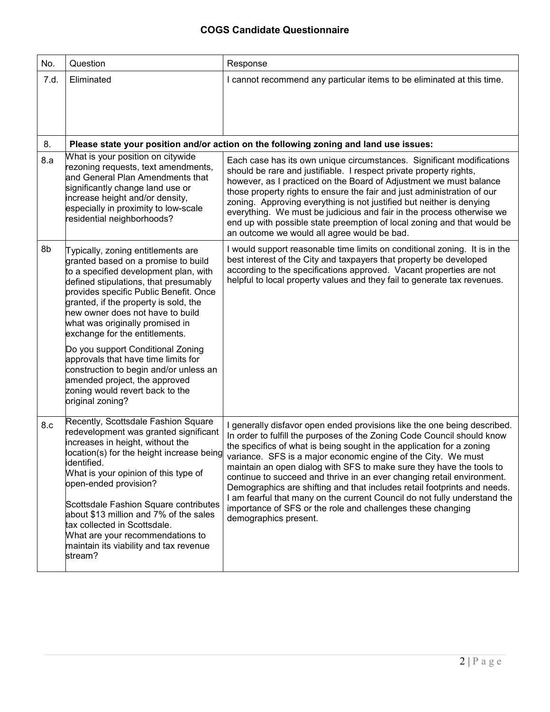| No.  | Question                                                                                                                                                                                                                                                                                                                                                                                                                                                                                                                                                              | Response                                                                                                                                                                                                                                                                                                                                                                                                                                                                                                                                                                                                                                                                                         |
|------|-----------------------------------------------------------------------------------------------------------------------------------------------------------------------------------------------------------------------------------------------------------------------------------------------------------------------------------------------------------------------------------------------------------------------------------------------------------------------------------------------------------------------------------------------------------------------|--------------------------------------------------------------------------------------------------------------------------------------------------------------------------------------------------------------------------------------------------------------------------------------------------------------------------------------------------------------------------------------------------------------------------------------------------------------------------------------------------------------------------------------------------------------------------------------------------------------------------------------------------------------------------------------------------|
| 7.d. | Eliminated                                                                                                                                                                                                                                                                                                                                                                                                                                                                                                                                                            | I cannot recommend any particular items to be eliminated at this time.                                                                                                                                                                                                                                                                                                                                                                                                                                                                                                                                                                                                                           |
| 8.   |                                                                                                                                                                                                                                                                                                                                                                                                                                                                                                                                                                       | Please state your position and/or action on the following zoning and land use issues:                                                                                                                                                                                                                                                                                                                                                                                                                                                                                                                                                                                                            |
| 8.a  | What is your position on citywide<br>rezoning requests, text amendments,<br>and General Plan Amendments that<br>significantly change land use or<br>increase height and/or density,<br>especially in proximity to low-scale<br>residential neighborhoods?                                                                                                                                                                                                                                                                                                             | Each case has its own unique circumstances. Significant modifications<br>should be rare and justifiable. I respect private property rights,<br>however, as I practiced on the Board of Adjustment we must balance<br>those property rights to ensure the fair and just administration of our<br>zoning. Approving everything is not justified but neither is denying<br>everything. We must be judicious and fair in the process otherwise we<br>end up with possible state preemption of local zoning and that would be<br>an outcome we would all agree would be bad.                                                                                                                          |
| 8b   | Typically, zoning entitlements are<br>granted based on a promise to build<br>to a specified development plan, with<br>defined stipulations, that presumably<br>provides specific Public Benefit. Once<br>granted, if the property is sold, the<br>new owner does not have to build<br>what was originally promised in<br>exchange for the entitlements.<br>Do you support Conditional Zoning<br>approvals that have time limits for<br>construction to begin and/or unless an<br>amended project, the approved<br>zoning would revert back to the<br>original zoning? | I would support reasonable time limits on conditional zoning. It is in the<br>best interest of the City and taxpayers that property be developed<br>according to the specifications approved. Vacant properties are not<br>helpful to local property values and they fail to generate tax revenues.                                                                                                                                                                                                                                                                                                                                                                                              |
| 8.c  | Recently, Scottsdale Fashion Square<br>redevelopment was granted significant<br>increases in height, without the<br>location(s) for the height increase being<br>identified.<br>What is your opinion of this type of<br>open-ended provision?<br>Scottsdale Fashion Square contributes<br>about \$13 million and 7% of the sales<br>tax collected in Scottsdale.<br>What are your recommendations to<br>maintain its viability and tax revenue<br>stream?                                                                                                             | I generally disfavor open ended provisions like the one being described.<br>In order to fulfill the purposes of the Zoning Code Council should know<br>the specifics of what is being sought in the application for a zoning<br>variance. SFS is a major economic engine of the City. We must<br>maintain an open dialog with SFS to make sure they have the tools to<br>continue to succeed and thrive in an ever changing retail environment.<br>Demographics are shifting and that includes retail footprints and needs.<br>I am fearful that many on the current Council do not fully understand the<br>importance of SFS or the role and challenges these changing<br>demographics present. |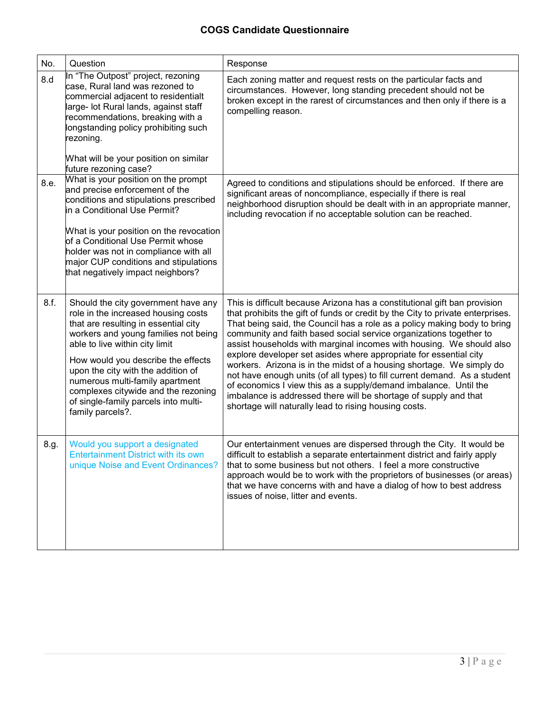| No.  | Question                                                                                                                                                                                                                                                                                                                                                                                                       | Response                                                                                                                                                                                                                                                                                                                                                                                                                                                                                                                                                                                                                                                                                                                                                                                                         |
|------|----------------------------------------------------------------------------------------------------------------------------------------------------------------------------------------------------------------------------------------------------------------------------------------------------------------------------------------------------------------------------------------------------------------|------------------------------------------------------------------------------------------------------------------------------------------------------------------------------------------------------------------------------------------------------------------------------------------------------------------------------------------------------------------------------------------------------------------------------------------------------------------------------------------------------------------------------------------------------------------------------------------------------------------------------------------------------------------------------------------------------------------------------------------------------------------------------------------------------------------|
| 8.d  | In "The Outpost" project, rezoning<br>case, Rural land was rezoned to<br>commercial adjacent to residentialt<br>large- lot Rural lands, against staff<br>recommendations, breaking with a<br>longstanding policy prohibiting such<br>rezoning.<br>What will be your position on similar<br>future rezoning case?                                                                                               | Each zoning matter and request rests on the particular facts and<br>circumstances. However, long standing precedent should not be<br>broken except in the rarest of circumstances and then only if there is a<br>compelling reason.                                                                                                                                                                                                                                                                                                                                                                                                                                                                                                                                                                              |
| 8.e. | What is your position on the prompt<br>and precise enforcement of the<br>conditions and stipulations prescribed<br>in a Conditional Use Permit?<br>What is your position on the revocation<br>of a Conditional Use Permit whose<br>holder was not in compliance with all<br>major CUP conditions and stipulations<br>that negatively impact neighbors?                                                         | Agreed to conditions and stipulations should be enforced. If there are<br>significant areas of noncompliance, especially if there is real<br>neighborhood disruption should be dealt with in an appropriate manner,<br>including revocation if no acceptable solution can be reached.                                                                                                                                                                                                                                                                                                                                                                                                                                                                                                                            |
| 8.f. | Should the city government have any<br>role in the increased housing costs<br>that are resulting in essential city<br>workers and young families not being<br>able to live within city limit<br>How would you describe the effects<br>upon the city with the addition of<br>numerous multi-family apartment<br>complexes citywide and the rezoning<br>of single-family parcels into multi-<br>family parcels?. | This is difficult because Arizona has a constitutional gift ban provision<br>that prohibits the gift of funds or credit by the City to private enterprises.<br>That being said, the Council has a role as a policy making body to bring<br>community and faith based social service organizations together to<br>assist households with marginal incomes with housing. We should also<br>explore developer set asides where appropriate for essential city<br>workers. Arizona is in the midst of a housing shortage. We simply do<br>not have enough units (of all types) to fill current demand. As a student<br>of economics I view this as a supply/demand imbalance. Until the<br>imbalance is addressed there will be shortage of supply and that<br>shortage will naturally lead to rising housing costs. |
| 8.g. | Would you support a designated<br><b>Entertainment District with its own</b><br>unique Noise and Event Ordinances?                                                                                                                                                                                                                                                                                             | Our entertainment venues are dispersed through the City. It would be<br>difficult to establish a separate entertainment district and fairly apply<br>that to some business but not others. I feel a more constructive<br>approach would be to work with the proprietors of businesses (or areas)<br>that we have concerns with and have a dialog of how to best address<br>issues of noise, litter and events.                                                                                                                                                                                                                                                                                                                                                                                                   |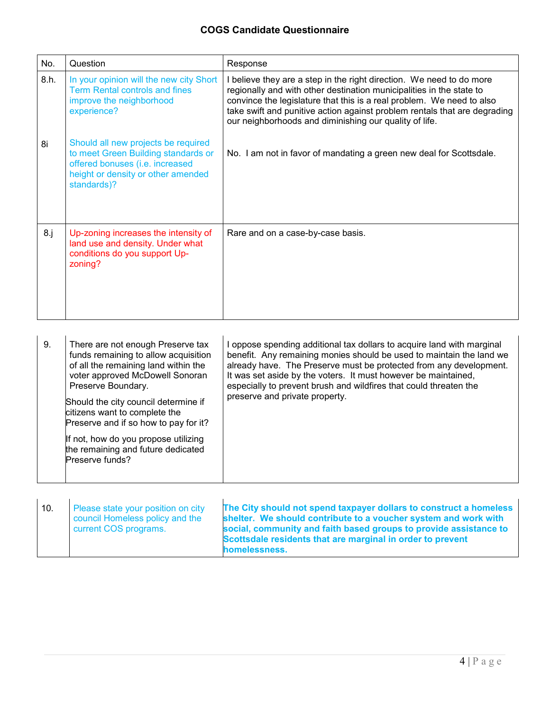| No.    | Question                                                                                                                                                           | Response                                                                                                                                                                                                                                                                                                                                                     |
|--------|--------------------------------------------------------------------------------------------------------------------------------------------------------------------|--------------------------------------------------------------------------------------------------------------------------------------------------------------------------------------------------------------------------------------------------------------------------------------------------------------------------------------------------------------|
| 8.h.   | In your opinion will the new city Short<br><b>Term Rental controls and fines</b><br>improve the neighborhood<br>experience?                                        | I believe they are a step in the right direction. We need to do more<br>regionally and with other destination municipalities in the state to<br>convince the legislature that this is a real problem. We need to also<br>take swift and punitive action against problem rentals that are degrading<br>our neighborhoods and diminishing our quality of life. |
| 8i     | Should all new projects be required<br>to meet Green Building standards or<br>offered bonuses (i.e. increased<br>height or density or other amended<br>standards)? | No. I am not in favor of mandating a green new deal for Scottsdale.                                                                                                                                                                                                                                                                                          |
| $8.$ j | Up-zoning increases the intensity of<br>land use and density. Under what<br>conditions do you support Up-<br>zoning?                                               | Rare and on a case-by-case basis.                                                                                                                                                                                                                                                                                                                            |

| 9. | There are not enough Preserve tax<br>funds remaining to allow acquisition<br>of all the remaining land within the<br>voter approved McDowell Sonoran<br>Preserve Boundary.<br>Should the city council determine if<br>citizens want to complete the<br>Preserve and if so how to pay for it?<br>If not, how do you propose utilizing<br>the remaining and future dedicated<br>Preserve funds? | oppose spending additional tax dollars to acquire land with marginal<br>benefit. Any remaining monies should be used to maintain the land we<br>already have. The Preserve must be protected from any development.<br>It was set aside by the voters. It must however be maintained,<br>especially to prevent brush and wildfires that could threaten the<br>preserve and private property. |
|----|-----------------------------------------------------------------------------------------------------------------------------------------------------------------------------------------------------------------------------------------------------------------------------------------------------------------------------------------------------------------------------------------------|---------------------------------------------------------------------------------------------------------------------------------------------------------------------------------------------------------------------------------------------------------------------------------------------------------------------------------------------------------------------------------------------|
|----|-----------------------------------------------------------------------------------------------------------------------------------------------------------------------------------------------------------------------------------------------------------------------------------------------------------------------------------------------------------------------------------------------|---------------------------------------------------------------------------------------------------------------------------------------------------------------------------------------------------------------------------------------------------------------------------------------------------------------------------------------------------------------------------------------------|

| 10. | Please state your position on city<br>council Homeless policy and the<br>current COS programs. | The City should not spend taxpayer dollars to construct a homeless<br>shelter. We should contribute to a voucher system and work with<br>social, community and faith based groups to provide assistance to<br>Scottsdale residents that are marginal in order to prevent<br>homelessness. |
|-----|------------------------------------------------------------------------------------------------|-------------------------------------------------------------------------------------------------------------------------------------------------------------------------------------------------------------------------------------------------------------------------------------------|
|-----|------------------------------------------------------------------------------------------------|-------------------------------------------------------------------------------------------------------------------------------------------------------------------------------------------------------------------------------------------------------------------------------------------|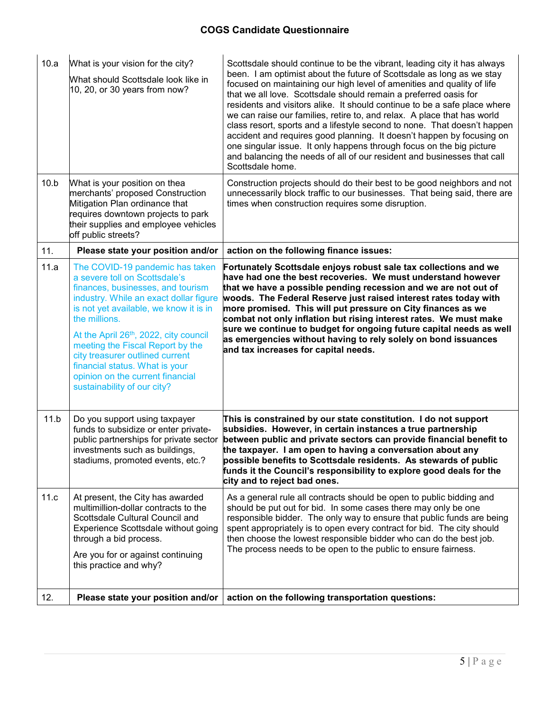| 10.a | What is your vision for the city?<br>What should Scottsdale look like in<br>10, 20, or 30 years from now?                                                                                                                                                                                                                                                                                                                       | Scottsdale should continue to be the vibrant, leading city it has always<br>been. I am optimist about the future of Scottsdale as long as we stay<br>focused on maintaining our high level of amenities and quality of life<br>that we all love. Scottsdale should remain a preferred oasis for<br>residents and visitors alike. It should continue to be a safe place where<br>we can raise our families, retire to, and relax. A place that has world<br>class resort, sports and a lifestyle second to none. That doesn't happen<br>accident and requires good planning. It doesn't happen by focusing on<br>one singular issue. It only happens through focus on the big picture<br>and balancing the needs of all of our resident and businesses that call<br>Scottsdale home. |
|------|---------------------------------------------------------------------------------------------------------------------------------------------------------------------------------------------------------------------------------------------------------------------------------------------------------------------------------------------------------------------------------------------------------------------------------|-------------------------------------------------------------------------------------------------------------------------------------------------------------------------------------------------------------------------------------------------------------------------------------------------------------------------------------------------------------------------------------------------------------------------------------------------------------------------------------------------------------------------------------------------------------------------------------------------------------------------------------------------------------------------------------------------------------------------------------------------------------------------------------|
| 10.b | What is your position on thea<br>merchants' proposed Construction<br>Mitigation Plan ordinance that<br>requires downtown projects to park<br>their supplies and employee vehicles<br>off public streets?                                                                                                                                                                                                                        | Construction projects should do their best to be good neighbors and not<br>unnecessarily block traffic to our businesses. That being said, there are<br>times when construction requires some disruption.                                                                                                                                                                                                                                                                                                                                                                                                                                                                                                                                                                           |
| 11.  | Please state your position and/or                                                                                                                                                                                                                                                                                                                                                                                               | action on the following finance issues:                                                                                                                                                                                                                                                                                                                                                                                                                                                                                                                                                                                                                                                                                                                                             |
| 11.a | The COVID-19 pandemic has taken<br>a severe toll on Scottsdale's<br>finances, businesses, and tourism<br>industry. While an exact dollar figure<br>is not yet available, we know it is in<br>the millions.<br>At the April 26th, 2022, city council<br>meeting the Fiscal Report by the<br>city treasurer outlined current<br>financial status. What is your<br>opinion on the current financial<br>sustainability of our city? | Fortunately Scottsdale enjoys robust sale tax collections and we<br>have had one the best recoveries. We must understand however<br>that we have a possible pending recession and we are not out of<br>woods. The Federal Reserve just raised interest rates today with<br>more promised. This will put pressure on City finances as we<br>combat not only inflation but rising interest rates. We must make<br>sure we continue to budget for ongoing future capital needs as well<br>as emergencies without having to rely solely on bond issuances<br>and tax increases for capital needs.                                                                                                                                                                                       |
| 11.b | Do you support using taxpayer<br>funds to subsidize or enter private-<br>public partnerships for private sector<br>investments such as buildings.<br>stadiums, promoted events, etc.?                                                                                                                                                                                                                                           | This is constrained by our state constitution. I do not support<br>subsidies. However, in certain instances a true partnership<br>between public and private sectors can provide financial benefit to<br>the taxpayer. I am open to having a conversation about any<br>possible benefits to Scottsdale residents. As stewards of public<br>funds it the Council's responsibility to explore good deals for the<br>city and to reject bad ones.                                                                                                                                                                                                                                                                                                                                      |
| 11.c | At present, the City has awarded<br>multimillion-dollar contracts to the<br>Scottsdale Cultural Council and<br>Experience Scottsdale without going<br>through a bid process.<br>Are you for or against continuing<br>this practice and why?                                                                                                                                                                                     | As a general rule all contracts should be open to public bidding and<br>should be put out for bid. In some cases there may only be one<br>responsible bidder. The only way to ensure that public funds are being<br>spent appropriately is to open every contract for bid. The city should<br>then choose the lowest responsible bidder who can do the best job.<br>The process needs to be open to the public to ensure fairness.                                                                                                                                                                                                                                                                                                                                                  |
| 12.  | Please state your position and/or                                                                                                                                                                                                                                                                                                                                                                                               | action on the following transportation questions:                                                                                                                                                                                                                                                                                                                                                                                                                                                                                                                                                                                                                                                                                                                                   |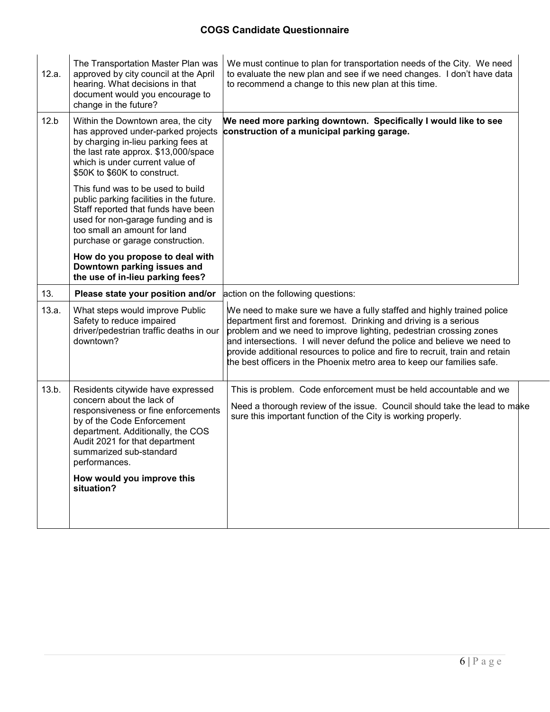| 12.a. | The Transportation Master Plan was<br>approved by city council at the April<br>hearing. What decisions in that<br>document would you encourage to<br>change in the future?                                                                                                                         | We must continue to plan for transportation needs of the City. We need<br>to evaluate the new plan and see if we need changes. I don't have data<br>to recommend a change to this new plan at this time.                                                                                                                                                                                                                                               |
|-------|----------------------------------------------------------------------------------------------------------------------------------------------------------------------------------------------------------------------------------------------------------------------------------------------------|--------------------------------------------------------------------------------------------------------------------------------------------------------------------------------------------------------------------------------------------------------------------------------------------------------------------------------------------------------------------------------------------------------------------------------------------------------|
| 12.b  | Within the Downtown area, the city<br>has approved under-parked projects<br>by charging in-lieu parking fees at<br>the last rate approx. \$13,000/space<br>which is under current value of<br>\$50K to \$60K to construct.                                                                         | We need more parking downtown. Specifically I would like to see<br>construction of a municipal parking garage.                                                                                                                                                                                                                                                                                                                                         |
|       | This fund was to be used to build<br>public parking facilities in the future.<br>Staff reported that funds have been<br>used for non-garage funding and is<br>too small an amount for land<br>purchase or garage construction.                                                                     |                                                                                                                                                                                                                                                                                                                                                                                                                                                        |
|       | How do you propose to deal with<br>Downtown parking issues and<br>the use of in-lieu parking fees?                                                                                                                                                                                                 |                                                                                                                                                                                                                                                                                                                                                                                                                                                        |
| 13.   | Please state your position and/or                                                                                                                                                                                                                                                                  | action on the following questions:                                                                                                                                                                                                                                                                                                                                                                                                                     |
| 13.a. | What steps would improve Public<br>Safety to reduce impaired<br>driver/pedestrian traffic deaths in our<br>downtown?                                                                                                                                                                               | We need to make sure we have a fully staffed and highly trained police<br>department first and foremost. Drinking and driving is a serious<br>problem and we need to improve lighting, pedestrian crossing zones<br>and intersections. I will never defund the police and believe we need to<br>provide additional resources to police and fire to recruit, train and retain<br>the best officers in the Phoenix metro area to keep our families safe. |
| 13.b. | Residents citywide have expressed<br>concern about the lack of<br>responsiveness or fine enforcements<br>by of the Code Enforcement<br>department. Additionally, the COS<br>Audit 2021 for that department<br>summarized sub-standard<br>performances.<br>How would you improve this<br>situation? | This is problem. Code enforcement must be held accountable and we<br>Need a thorough review of the issue. Council should take the lead to make<br>sure this important function of the City is working properly.                                                                                                                                                                                                                                        |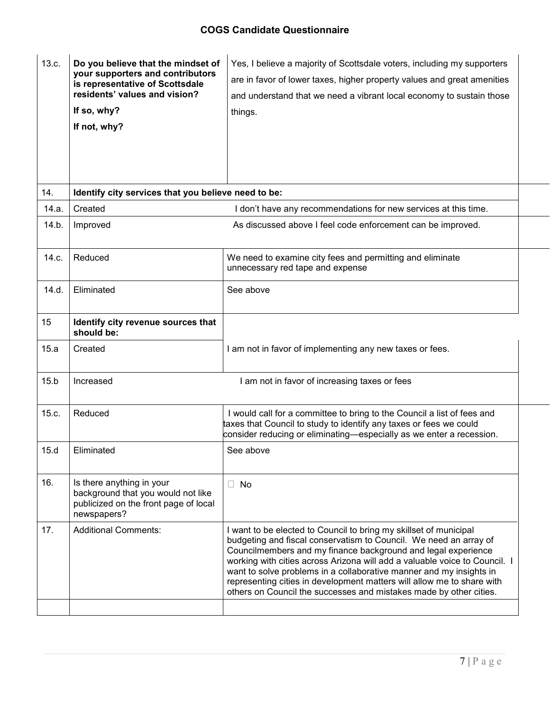| 13.c. | Do you believe that the mindset of<br>your supporters and contributors<br>is representative of Scottsdale<br>residents' values and vision?<br>If so, why?<br>If not, why? | Yes, I believe a majority of Scottsdale voters, including my supporters<br>are in favor of lower taxes, higher property values and great amenities<br>and understand that we need a vibrant local economy to sustain those<br>things.                                                                                                                                                                                                                                                                        |
|-------|---------------------------------------------------------------------------------------------------------------------------------------------------------------------------|--------------------------------------------------------------------------------------------------------------------------------------------------------------------------------------------------------------------------------------------------------------------------------------------------------------------------------------------------------------------------------------------------------------------------------------------------------------------------------------------------------------|
| 14.   | Identify city services that you believe need to be:                                                                                                                       |                                                                                                                                                                                                                                                                                                                                                                                                                                                                                                              |
| 14.a. | Created                                                                                                                                                                   | I don't have any recommendations for new services at this time.                                                                                                                                                                                                                                                                                                                                                                                                                                              |
| 14.b. | Improved                                                                                                                                                                  | As discussed above I feel code enforcement can be improved.                                                                                                                                                                                                                                                                                                                                                                                                                                                  |
| 14.c. | Reduced                                                                                                                                                                   | We need to examine city fees and permitting and eliminate<br>unnecessary red tape and expense                                                                                                                                                                                                                                                                                                                                                                                                                |
| 14.d. | Eliminated                                                                                                                                                                | See above                                                                                                                                                                                                                                                                                                                                                                                                                                                                                                    |
| 15    | Identify city revenue sources that<br>should be:                                                                                                                          |                                                                                                                                                                                                                                                                                                                                                                                                                                                                                                              |
| 15.a  | Created                                                                                                                                                                   | I am not in favor of implementing any new taxes or fees.                                                                                                                                                                                                                                                                                                                                                                                                                                                     |
| 15.b  | Increased                                                                                                                                                                 | I am not in favor of increasing taxes or fees                                                                                                                                                                                                                                                                                                                                                                                                                                                                |
| 15.c. | Reduced                                                                                                                                                                   | I would call for a committee to bring to the Council a list of fees and<br>taxes that Council to study to identify any taxes or fees we could<br>consider reducing or eliminating—especially as we enter a recession.                                                                                                                                                                                                                                                                                        |
| 15.d  | Eliminated                                                                                                                                                                | See above                                                                                                                                                                                                                                                                                                                                                                                                                                                                                                    |
| 16.   | Is there anything in your<br>background that you would not like<br>publicized on the front page of local<br>newspapers?                                                   | No<br>$\Box$                                                                                                                                                                                                                                                                                                                                                                                                                                                                                                 |
| 17.   | <b>Additional Comments:</b>                                                                                                                                               | I want to be elected to Council to bring my skillset of municipal<br>budgeting and fiscal conservatism to Council. We need an array of<br>Councilmembers and my finance background and legal experience<br>working with cities across Arizona will add a valuable voice to Council. I<br>want to solve problems in a collaborative manner and my insights in<br>representing cities in development matters will allow me to share with<br>others on Council the successes and mistakes made by other cities. |